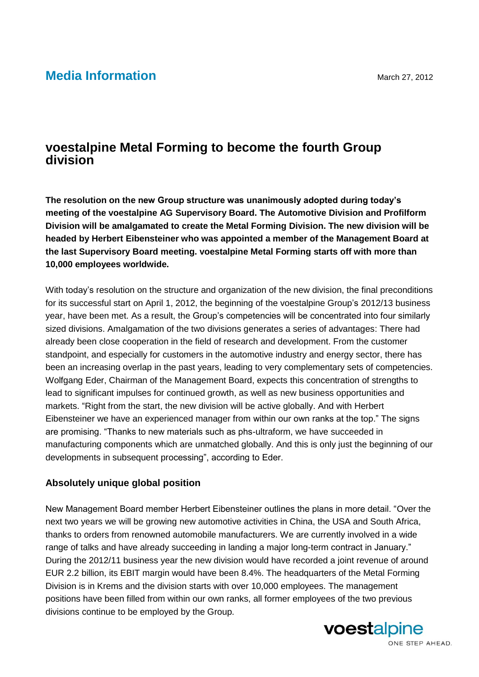# **Media Information** March 27, 2012

## **voestalpine Metal Forming to become the fourth Group division**

**The resolution on the new Group structure was unanimously adopted during today's meeting of the voestalpine AG Supervisory Board. The Automotive Division and Profilform Division will be amalgamated to create the Metal Forming Division. The new division will be headed by Herbert Eibensteiner who was appointed a member of the Management Board at the last Supervisory Board meeting. voestalpine Metal Forming starts off with more than 10,000 employees worldwide.**

With today's resolution on the structure and organization of the new division, the final preconditions for its successful start on April 1, 2012, the beginning of the voestalpine Group's 2012/13 business year, have been met. As a result, the Group's competencies will be concentrated into four similarly sized divisions. Amalgamation of the two divisions generates a series of advantages: There had already been close cooperation in the field of research and development. From the customer standpoint, and especially for customers in the automotive industry and energy sector, there has been an increasing overlap in the past years, leading to very complementary sets of competencies. Wolfgang Eder, Chairman of the Management Board, expects this concentration of strengths to lead to significant impulses for continued growth, as well as new business opportunities and markets. "Right from the start, the new division will be active globally. And with Herbert Eibensteiner we have an experienced manager from within our own ranks at the top." The signs are promising. "Thanks to new materials such as phs-ultraform, we have succeeded in manufacturing components which are unmatched globally. And this is only just the beginning of our developments in subsequent processing", according to Eder.

#### **Absolutely unique global position**

New Management Board member Herbert Eibensteiner outlines the plans in more detail. "Over the next two years we will be growing new automotive activities in China, the USA and South Africa, thanks to orders from renowned automobile manufacturers. We are currently involved in a wide range of talks and have already succeeding in landing a major long-term contract in January." During the 2012/11 business year the new division would have recorded a joint revenue of around EUR 2.2 billion, its EBIT margin would have been 8.4%. The headquarters of the Metal Forming Division is in Krems and the division starts with over 10,000 employees. The management positions have been filled from within our own ranks, all former employees of the two previous divisions continue to be employed by the Group.

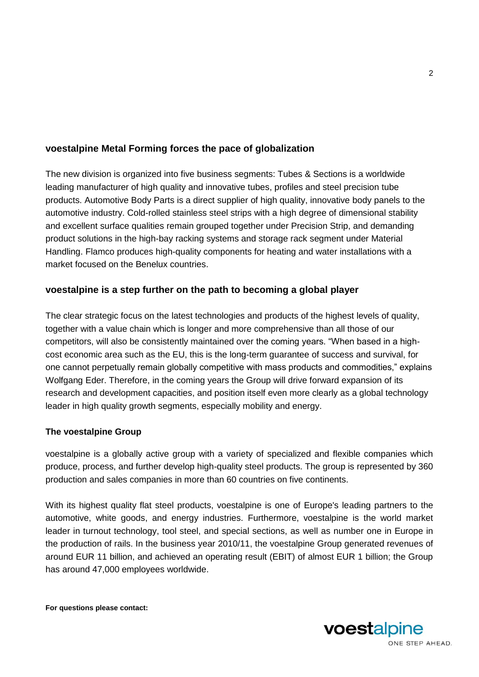## **voestalpine Metal Forming forces the pace of globalization**

The new division is organized into five business segments: Tubes & Sections is a worldwide leading manufacturer of high quality and innovative tubes, profiles and steel precision tube products. Automotive Body Parts is a direct supplier of high quality, innovative body panels to the automotive industry. Cold-rolled stainless steel strips with a high degree of dimensional stability and excellent surface qualities remain grouped together under Precision Strip, and demanding product solutions in the high-bay racking systems and storage rack segment under Material Handling. Flamco produces high-quality components for heating and water installations with a market focused on the Benelux countries.

### **voestalpine is a step further on the path to becoming a global player**

The clear strategic focus on the latest technologies and products of the highest levels of quality, together with a value chain which is longer and more comprehensive than all those of our competitors, will also be consistently maintained over the coming years. "When based in a highcost economic area such as the EU, this is the long-term guarantee of success and survival, for one cannot perpetually remain globally competitive with mass products and commodities," explains Wolfgang Eder. Therefore, in the coming years the Group will drive forward expansion of its research and development capacities, and position itself even more clearly as a global technology leader in high quality growth segments, especially mobility and energy.

#### **The voestalpine Group**

voestalpine is a globally active group with a variety of specialized and flexible companies which produce, process, and further develop high-quality steel products. The group is represented by 360 production and sales companies in more than 60 countries on five continents.

With its highest quality flat steel products, voestalpine is one of Europe's leading partners to the automotive, white goods, and energy industries. Furthermore, voestalpine is the world market leader in turnout technology, tool steel, and special sections, as well as number one in Europe in the production of rails. In the business year 2010/11, the voestalpine Group generated revenues of around EUR 11 billion, and achieved an operating result (EBIT) of almost EUR 1 billion; the Group has around 47,000 employees worldwide.

**For questions please contact:**